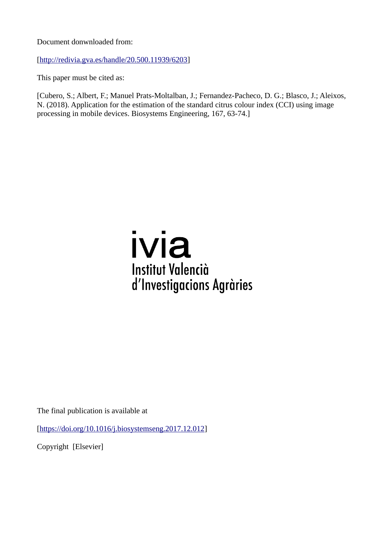Document donwnloaded from:

[\[http://redivia.gva.es/handle/20.500.11939/6203\]](http://redivia.gva.es/handle/20.500.11939/6203)

This paper must be cited as:

[Cubero, S.; Albert, F.; Manuel Prats-Moltalban, J.; Fernandez-Pacheco, D. G.; Blasco, J.; Aleixos, N. (2018). Application for the estimation of the standard citrus colour index (CCI) using image processing in mobile devices. Biosystems Engineering, 167, 63-74.]

# ivia **Institut Valencià** d'Investigacions Agràries

The final publication is available at

[\[https://doi.org/10.1016/j.biosystemseng.2017.12.012\]](https://doi.org/10.1016/j.biosystemseng.2017.12.012)

Copyright [Elsevier]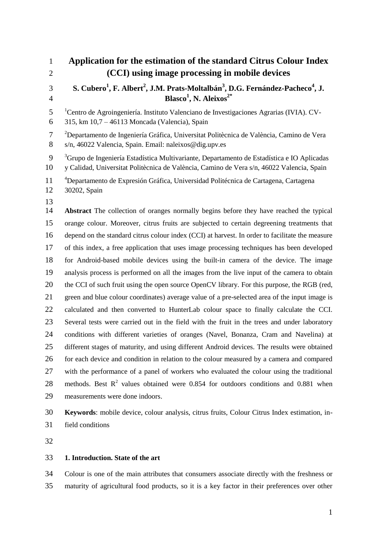| $\mathbf{1}$        | Application for the estimation of the standard Citrus Colour Index                                                                                                                                  |
|---------------------|-----------------------------------------------------------------------------------------------------------------------------------------------------------------------------------------------------|
| $\overline{2}$      | (CCI) using image processing in mobile devices                                                                                                                                                      |
| 3                   | S. Cubero <sup>1</sup> , F. Albert <sup>2</sup> , J.M. Prats-Moltalbán <sup>3</sup> , D.G. Fernández-Pacheco <sup>4</sup> , J.                                                                      |
| $\overline{4}$      | Blasco <sup>1</sup> , N. Aleixos <sup>2*</sup>                                                                                                                                                      |
| 5<br>6              | <sup>1</sup> Centro de Agroingeniería. Instituto Valenciano de Investigaciones Agrarias (IVIA). CV-<br>315, km 10,7 - 46113 Moncada (Valencia), Spain                                               |
| $\overline{7}$<br>8 | <sup>2</sup> Departamento de Ingeniería Gráfica, Universitat Politècnica de València, Camino de Vera<br>s/n, 46022 Valencia, Spain. Email: naleixos@dig.upv.es                                      |
| 9<br>10             | <sup>3</sup> Grupo de Ingeniería Estadística Multivariante, Departamento de Estadística e IO Aplicadas<br>y Calidad, Universitat Politècnica de València, Camino de Vera s/n, 46022 Valencia, Spain |
| 11<br>12            | <sup>4</sup> Departamento de Expresión Gráfica, Universidad Politécnica de Cartagena, Cartagena<br>30202, Spain                                                                                     |
| 13<br>14            | <b>Abstract</b> The collection of oranges normally begins before they have reached the typical                                                                                                      |
| 15                  | orange colour. Moreover, citrus fruits are subjected to certain degreening treatments that                                                                                                          |
| 16                  | depend on the standard citrus colour index (CCI) at harvest. In order to facilitate the measure                                                                                                     |
| 17                  | of this index, a free application that uses image processing techniques has been developed                                                                                                          |
| 18                  | for Android-based mobile devices using the built-in camera of the device. The image                                                                                                                 |
| 19                  | analysis process is performed on all the images from the live input of the camera to obtain                                                                                                         |
| 20                  | the CCI of such fruit using the open source OpenCV library. For this purpose, the RGB (red,                                                                                                         |
| 21                  | green and blue colour coordinates) average value of a pre-selected area of the input image is                                                                                                       |
| 22                  | calculated and then converted to HunterLab colour space to finally calculate the CCI.                                                                                                               |
| 23                  | Several tests were carried out in the field with the fruit in the trees and under laboratory                                                                                                        |
| 24                  | conditions with different varieties of oranges (Navel, Bonanza, Cram and Navelina) at                                                                                                               |
| 25                  | different stages of maturity, and using different Android devices. The results were obtained                                                                                                        |
| 26                  | for each device and condition in relation to the colour measured by a camera and compared                                                                                                           |
| 27                  | with the performance of a panel of workers who evaluated the colour using the traditional                                                                                                           |
| 28                  | methods. Best $R^2$ values obtained were 0.854 for outdoors conditions and 0.881 when                                                                                                               |
| 29                  | measurements were done indoors.                                                                                                                                                                     |
| 30                  | Keywords: mobile device, colour analysis, citrus fruits, Colour Citrus Index estimation, in-                                                                                                        |

field conditions

## **1. Introduction. State of the art**

 Colour is one of the main attributes that consumers associate directly with the freshness or maturity of agricultural food products, so it is a key factor in their preferences over other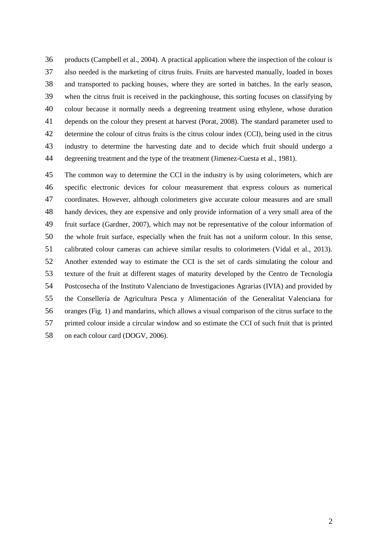products (Campbell et al., 2004). A practical application where the inspection of the colour is also needed is the marketing of citrus fruits. Fruits are harvested manually, loaded in boxes and transported to packing houses, where they are sorted in batches. In the early season, when the citrus fruit is received in the packinghouse, this sorting focuses on classifying by colour because it normally needs a degreening treatment using ethylene, whose duration depends on the colour they present at harvest (Porat, 2008). The standard parameter used to determine the colour of citrus fruits is the citrus colour index (CCI), being used in the citrus industry to determine the harvesting date and to decide which fruit should undergo a degreening treatment and the type of the treatment (Jimenez-Cuesta et al., 1981).

 The common way to determine the CCI in the industry is by using colorimeters, which are specific electronic devices for colour measurement that express colours as numerical coordinates. However, although colorimeters give accurate colour measures and are small handy devices, they are expensive and only provide information of a very small area of the fruit surface (Gardner, 2007), which may not be representative of the colour information of the whole fruit surface, especially when the fruit has not a uniform colour. In this sense, calibrated colour cameras can achieve similar results to colorimeters (Vidal et al., 2013). Another extended way to estimate the CCI is the set of cards simulating the colour and texture of the fruit at different stages of maturity developed by the Centro de Tecnología Postcosecha of the Instituto Valenciano de Investigaciones Agrarias (IVIA) and provided by the Consellería de Agricultura Pesca y Alimentación of the Generalitat Valenciana for oranges (Fig. 1) and mandarins, which allows a visual comparison of the citrus surface to the printed colour inside a circular window and so estimate the CCI of such fruit that is printed 58 on each colour card (DOGV, 2006).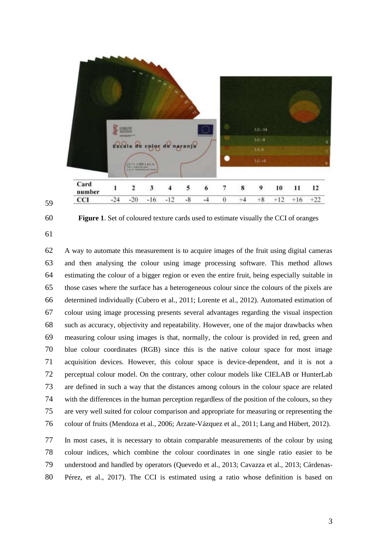



**Figure 1**. Set of coloured texture cards used to estimate visually the CCI of oranges

 A way to automate this measurement is to acquire images of the fruit using digital cameras and then analysing the colour using image processing software. This method allows estimating the colour of a bigger region or even the entire fruit, being especially suitable in those cases where the surface has a heterogeneous colour since the colours of the pixels are determined individually (Cubero et al., 2011; Lorente et al., 2012). Automated estimation of colour using image processing presents several advantages regarding the visual inspection such as accuracy, objectivity and repeatability. However, one of the major drawbacks when measuring colour using images is that, normally, the colour is provided in red, green and blue colour coordinates (RGB) since this is the native colour space for most image acquisition devices. However, this colour space is device-dependent, and it is not a perceptual colour model. On the contrary, other colour models like CIELAB or HunterLab are defined in such a way that the distances among colours in the colour space are related with the differences in the human perception regardless of the position of the colours, so they are very well suited for colour comparison and appropriate for measuring or representing the colour of fruits (Mendoza et al., 2006; Arzate-Vázquez et al., 2011; Lang and Hübert, 2012).

 In most cases, it is necessary to obtain comparable measurements of the colour by using colour indices, which combine the colour coordinates in one single ratio easier to be understood and handled by operators (Quevedo et al., 2013; Cavazza et al., 2013; Cárdenas-Pérez, et al., 2017). The CCI is estimated using a ratio whose definition is based on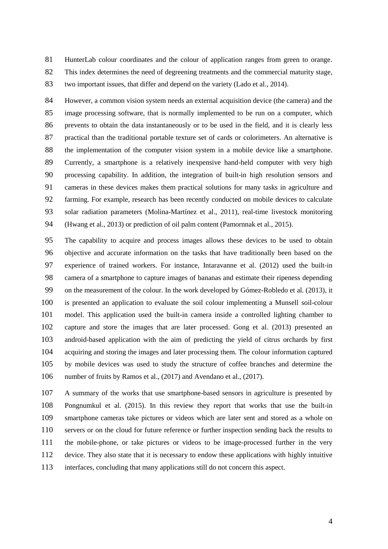HunterLab colour coordinates and the colour of application ranges from green to orange.

This index determines the need of degreening treatments and the commercial maturity stage,

two important issues, that differ and depend on the variety (Lado et al., 2014).

 However, a common vision system needs an external acquisition device (the camera) and the image processing software, that is normally implemented to be run on a computer, which prevents to obtain the data instantaneously or to be used in the field, and it is clearly less practical than the traditional portable texture set of cards or colorimeters. An alternative is the implementation of the computer vision system in a mobile device like a smartphone. Currently, a smartphone is a relatively inexpensive hand-held computer with very high processing capability. In addition, the integration of built-in high resolution sensors and cameras in these devices makes them practical solutions for many tasks in agriculture and farming. For example, research has been recently conducted on mobile devices to calculate solar radiation parameters (Molina-Martínez et al., 2011), real-time livestock monitoring (Hwang et al., 2013) or prediction of oil palm content (Pamornnak et al., 2015).

 The capability to acquire and process images allows these devices to be used to obtain objective and accurate information on the tasks that have traditionally been based on the experience of trained workers. For instance, Intaravanne et al. (2012) used the built-in camera of a smartphone to capture images of bananas and estimate their ripeness depending on the measurement of the colour. In the work developed by Gómez-Robledo et al. (2013), it is presented an application to evaluate the soil colour implementing a Munsell soil-colour model. This application used the built-in camera inside a controlled lighting chamber to capture and store the images that are later processed. Gong et al. (2013) presented an android-based application with the aim of predicting the yield of citrus orchards by first acquiring and storing the images and later processing them. The colour information captured by mobile devices was used to study the structure of coffee branches and determine the number of fruits by Ramos et al., (2017) and Avendano et al., (2017).

 A summary of the works that use smartphone-based sensors in agriculture is presented by Pongnumkul et al. (2015). In this review they report that works that use the built-in smartphone cameras take pictures or videos which are later sent and stored as a whole on servers or on the cloud for future reference or further inspection sending back the results to the mobile-phone, or take pictures or videos to be image-processed further in the very device. They also state that it is necessary to endow these applications with highly intuitive interfaces, concluding that many applications still do not concern this aspect.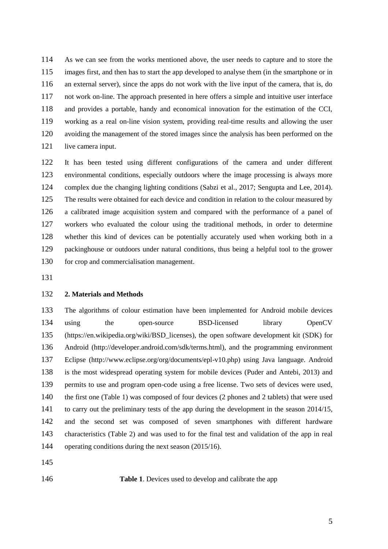As we can see from the works mentioned above, the user needs to capture and to store the images first, and then has to start the app developed to analyse them (in the smartphone or in an external server), since the apps do not work with the live input of the camera, that is, do not work on-line. The approach presented in here offers a simple and intuitive user interface and provides a portable, handy and economical innovation for the estimation of the CCI, working as a real on-line vision system, providing real-time results and allowing the user avoiding the management of the stored images since the analysis has been performed on the 121 live camera input.

 It has been tested using different configurations of the camera and under different environmental conditions, especially outdoors where the image processing is always more complex due the changing lighting conditions (Sabzi et al., 2017; Sengupta and Lee, 2014). 125 The results were obtained for each device and condition in relation to the colour measured by a calibrated image acquisition system and compared with the performance of a panel of workers who evaluated the colour using the traditional methods, in order to determine whether this kind of devices can be potentially accurately used when working both in a packinghouse or outdoors under natural conditions, thus being a helpful tool to the grower for crop and commercialisation management.

#### **2. Materials and Methods**

 The algorithms of colour estimation have been implemented for Android mobile devices using the open-source BSD-licensed library OpenCV (https://en.wikipedia.org/wiki/BSD\_licenses), the open software development kit (SDK) for Android (http://developer.android.com/sdk/terms.html), and the programming environment Eclipse (http://www.eclipse.org/org/documents/epl-v10.php) using Java language. Android is the most widespread operating system for mobile devices (Puder and Antebi, 2013) and permits to use and program open-code using a free license. Two sets of devices were used, the first one (Table 1) was composed of four devices (2 phones and 2 tablets) that were used to carry out the preliminary tests of the app during the development in the season 2014/15, and the second set was composed of seven smartphones with different hardware characteristics (Table 2) and was used to for the final test and validation of the app in real operating conditions during the next season (2015/16).

**Table 1**. Devices used to develop and calibrate the app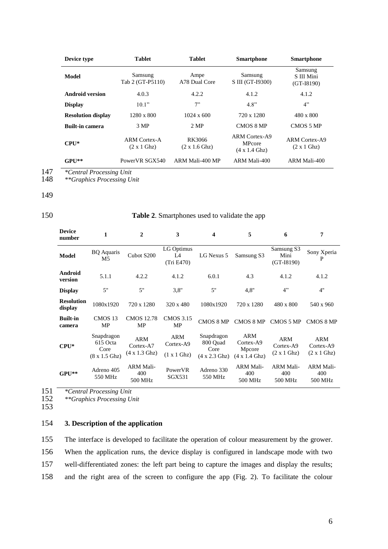| Device type               | <b>Tablet</b><br><b>Tablet</b>                    |                         | <b>Smartphone</b>                                                     | <b>Smartphone</b>                                  |
|---------------------------|---------------------------------------------------|-------------------------|-----------------------------------------------------------------------|----------------------------------------------------|
| Model                     | Samsung<br>Tab 2 (GT-P5110)                       | Ampe<br>A78 Dual Core   | Samsung<br>S III (GT-19300)                                           | Samsung<br>S III Mini<br>$(GT-I8190)$              |
| <b>Android version</b>    | 4.0.3                                             | 4.2.2                   | 4.1.2                                                                 | 4.1.2                                              |
| <b>Display</b>            | 10.1"                                             | 7"                      | 4.8"                                                                  | 4"                                                 |
| <b>Resolution display</b> | $1280 \times 800$                                 | $1024 \times 600$       | 720 x 1280                                                            | 480 x 800                                          |
| <b>Built-in camera</b>    | 3 MP                                              | 2 MP                    | <b>CMOS 8 MP</b>                                                      | CMOS 5 MP                                          |
| $\mathbf{CPI}^*$          | <b>ARM Cortex-A</b><br>$(2 \times 1 \text{ Ghz})$ | RK3066<br>(2 x 1.6 Ghz) | <b>ARM Cortex-A9</b><br><b>MPcore</b><br>$(4 \times 1.4 \text{ Ghz})$ | <b>ARM Cortex-A9</b><br>$(2 \times 1 \text{ Ghz})$ |
| $GPI**$                   | PowerVR SGX540                                    | ARM Mali-400 MP         | ARM Mali-400                                                          | ARM Mali-400                                       |

147 *\*Central Processing Unit*

148 *\*\*Graphics Processing Unit*

#### 149

## 150 **Table 2**. Smartphones used to validate the app

| <b>Device</b><br>number      | 1                                                              | $\mathbf{2}$                                            | 3                                      | 4                                                              | 5                                                                 | 6                                      | 7                                  |
|------------------------------|----------------------------------------------------------------|---------------------------------------------------------|----------------------------------------|----------------------------------------------------------------|-------------------------------------------------------------------|----------------------------------------|------------------------------------|
| <b>Model</b>                 | <b>BQ</b> Aquaris<br>M5                                        | Cubot S200                                              | LG Optimus<br>L4<br>(Tri E470)         | LG Nexus 5                                                     | Samsung S3                                                        | Samsung S3<br>Mini<br>$(GT-I8190)$     | Sony Xperia<br>P                   |
| Android<br>version           | 5.1.1                                                          | 4.2.2                                                   | 4.1.2                                  | 6.0.1                                                          | 4.3                                                               | 4.1.2                                  | 4.1.2                              |
| <b>Display</b>               | 5"                                                             | 5"                                                      | 3,8"                                   | 5"                                                             | 4.8"                                                              | 4"                                     | 4"                                 |
| <b>Resolution</b><br>display | 1080x1920                                                      | 720 x 1280                                              | 320 x 480                              | 1080x1920                                                      | 720 x 1280                                                        | 480 x 800                              | 540 x 960                          |
| <b>Built-in</b><br>camera    | CMOS <sub>13</sub><br>MP                                       | <b>CMOS 12.78</b><br><b>MP</b>                          | <b>CMOS 3.15</b><br>MP                 | CMOS 8 MP                                                      | CMOS 8 MP                                                         | CMOS 5 MP                              | CMOS 8 MP                          |
| $CPU*$                       | Snapdragon<br>615 Octa<br>Core<br>$(8 \times 1.5 \text{ Ghz})$ | <b>ARM</b><br>Cortex-A7<br>$(4 \times 1.3 \text{ Ghz})$ | <b>ARM</b><br>Cortex-A9<br>(1 x 1 Ghz) | Snapdragon<br>800 Ouad<br>Core<br>$(4 \times 2.3 \text{ Ghz})$ | <b>ARM</b><br>Cortex-A9<br>Mpcore<br>$(4 \times 1.4 \text{ Ghz})$ | <b>ARM</b><br>Cortex-A9<br>(2 x 1 Ghz) | ARM<br>Cortex-A9<br>(2 x 1 Ghz)    |
| $GPU**$                      | Adreno 405<br>550 MHz                                          | <b>ARM Mali-</b><br>400<br>500 MHz                      | PowerVR<br>SGX531                      | Adreno 330<br>550 MHz                                          | <b>ARM Mali-</b><br>400<br>500 MHz                                | <b>ARM Mali-</b><br>400<br>500 MHz     | <b>ARM Mali-</b><br>400<br>500 MHz |

151 *\*Central Processing Unit* 152 *\*\*Graphics Processing Unit*

153

## 154 **3. Description of the application**

 The interface is developed to facilitate the operation of colour measurement by the grower. When the application runs, the device display is configured in landscape mode with two well-differentiated zones: the left part being to capture the images and display the results; and the right area of the screen to configure the app (Fig. 2). To facilitate the colour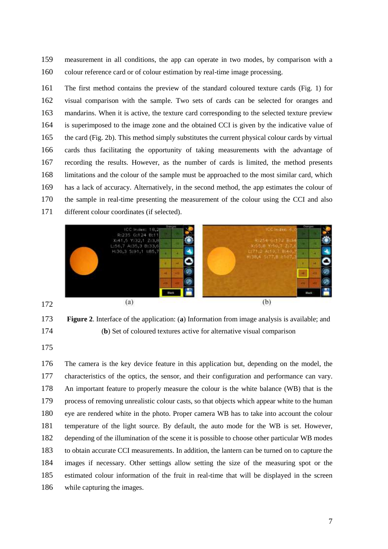measurement in all conditions, the app can operate in two modes, by comparison with a colour reference card or of colour estimation by real-time image processing.

 The first method contains the preview of the standard coloured texture cards (Fig. 1) for visual comparison with the sample. Two sets of cards can be selected for oranges and mandarins. When it is active, the texture card corresponding to the selected texture preview is superimposed to the image zone and the obtained CCI is given by the indicative value of the card (Fig. 2b). This method simply substitutes the current physical colour cards by virtual cards thus facilitating the opportunity of taking measurements with the advantage of recording the results. However, as the number of cards is limited, the method presents limitations and the colour of the sample must be approached to the most similar card, which has a lack of accuracy. Alternatively, in the second method, the app estimates the colour of the sample in real-time presenting the measurement of the colour using the CCI and also different colour coordinates (if selected).



## **Figure 2**. Interface of the application: (**a**) Information from image analysis is available; and (**b**) Set of coloured textures active for alternative visual comparison

 The camera is the key device feature in this application but, depending on the model, the characteristics of the optics, the sensor, and their configuration and performance can vary. An important feature to properly measure the colour is the white balance (WB) that is the process of removing unrealistic colour casts, so that objects which appear white to the human eye are rendered white in the photo. Proper camera WB has to take into account the colour temperature of the light source. By default, the auto mode for the WB is set. However, depending of the illumination of the scene it is possible to choose other particular WB modes to obtain accurate CCI measurements. In addition, the lantern can be turned on to capture the images if necessary. Other settings allow setting the size of the measuring spot or the estimated colour information of the fruit in real-time that will be displayed in the screen while capturing the images.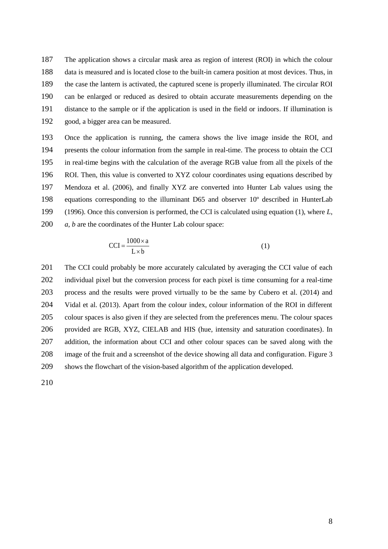The application shows a circular mask area as region of interest (ROI) in which the colour data is measured and is located close to the built-in camera position at most devices. Thus, in the case the lantern is activated, the captured scene is properly illuminated. The circular ROI can be enlarged or reduced as desired to obtain accurate measurements depending on the distance to the sample or if the application is used in the field or indoors. If illumination is good, a bigger area can be measured.

 Once the application is running, the camera shows the live image inside the ROI, and presents the colour information from the sample in real-time. The process to obtain the CCI in real-time begins with the calculation of the average RGB value from all the pixels of the ROI. Then, this value is converted to XYZ colour coordinates using equations described by Mendoza et al. (2006), and finally XYZ are converted into Hunter Lab values using the equations corresponding to the illuminant D65 and observer 10º described in HunterLab (1996). Once this conversion is performed, the CCI is calculated using equation (1), where *L*, *a*, *b* are the coordinates of the Hunter Lab colour space:

$$
|CCI| = \frac{1000 \times a}{L \times b}
$$
 (1)

201 The CCI could probably be more accurately calculated by averaging the CCI value of each individual pixel but the conversion process for each pixel is time consuming for a real-time process and the results were proved virtually to be the same by Cubero et al. (2014) and Vidal et al. (2013). Apart from the colour index, colour information of the ROI in different colour spaces is also given if they are selected from the preferences menu. The colour spaces provided are RGB, XYZ, CIELAB and HIS (hue, intensity and saturation coordinates). In addition, the information about CCI and other colour spaces can be saved along with the image of the fruit and a screenshot of the device showing all data and configuration. Figure 3 shows the flowchart of the vision-based algorithm of the application developed.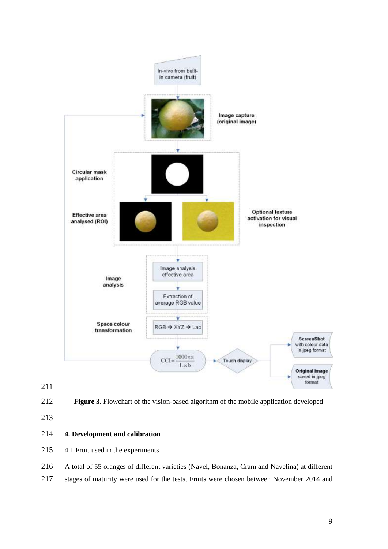

**Figure 3**. Flowchart of the vision-based algorithm of the mobile application developed

## **4. Development and calibration**

- 4.1 Fruit used in the experiments
- A total of 55 oranges of different varieties (Navel, Bonanza, Cram and Navelina) at different
- stages of maturity were used for the tests. Fruits were chosen between November 2014 and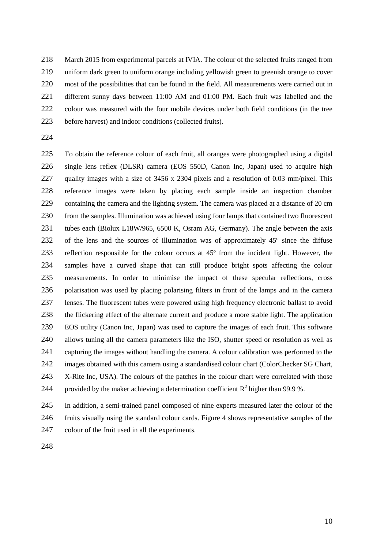March 2015 from experimental parcels at IVIA. The colour of the selected fruits ranged from uniform dark green to uniform orange including yellowish green to greenish orange to cover 220 most of the possibilities that can be found in the field. All measurements were carried out in different sunny days between 11:00 AM and 01:00 PM. Each fruit was labelled and the 222 colour was measured with the four mobile devices under both field conditions (in the tree before harvest) and indoor conditions (collected fruits).

 To obtain the reference colour of each fruit, all oranges were photographed using a digital single lens reflex (DLSR) camera (EOS 550D, Canon Inc, Japan) used to acquire high quality images with a size of 3456 x 2304 pixels and a resolution of 0.03 mm/pixel. This reference images were taken by placing each sample inside an inspection chamber 229 containing the camera and the lighting system. The camera was placed at a distance of 20 cm from the samples. Illumination was achieved using four lamps that contained two fluorescent tubes each (Biolux L18W/965, 6500 K, Osram AG, Germany). The angle between the axis of the lens and the sources of illumination was of approximately 45º since the diffuse reflection responsible for the colour occurs at 45º from the incident light. However, the samples have a curved shape that can still produce bright spots affecting the colour measurements. In order to minimise the impact of these specular reflections, cross polarisation was used by placing polarising filters in front of the lamps and in the camera lenses. The fluorescent tubes were powered using high frequency electronic ballast to avoid the flickering effect of the alternate current and produce a more stable light. The application EOS utility (Canon Inc, Japan) was used to capture the images of each fruit. This software allows tuning all the camera parameters like the ISO, shutter speed or resolution as well as capturing the images without handling the camera. A colour calibration was performed to the images obtained with this camera using a standardised colour chart (ColorChecker SG Chart, X-Rite Inc, USA). The colours of the patches in the colour chart were correlated with those 244 provided by the maker achieving a determination coefficient  $R^2$  higher than 99.9 %.

 In addition, a semi-trained panel composed of nine experts measured later the colour of the fruits visually using the standard colour cards. Figure 4 shows representative samples of the colour of the fruit used in all the experiments.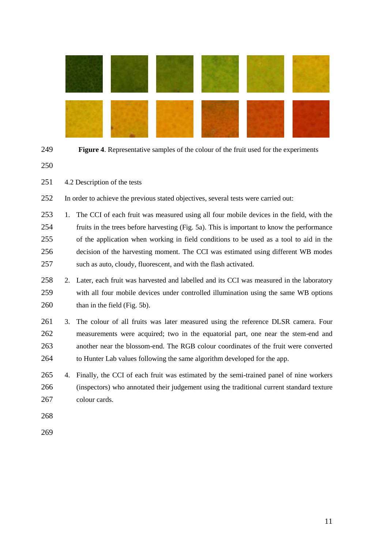

|  | ٦<br>۰. |
|--|---------|

Figure 4. Representative samples of the colour of the fruit used for the experiments

4.2 Description of the tests

In order to achieve the previous stated objectives, several tests were carried out:

 1. The CCI of each fruit was measured using all four mobile devices in the field, with the fruits in the trees before harvesting (Fig. 5a). This is important to know the performance of the application when working in field conditions to be used as a tool to aid in the decision of the harvesting moment. The CCI was estimated using different WB modes such as auto, cloudy, fluorescent, and with the flash activated.

- 2. Later, each fruit was harvested and labelled and its CCI was measured in the laboratory with all four mobile devices under controlled illumination using the same WB options 260 than in the field (Fig. 5b).
- 3. The colour of all fruits was later measured using the reference DLSR camera. Four measurements were acquired; two in the equatorial part, one near the stem-end and another near the blossom-end. The RGB colour coordinates of the fruit were converted to Hunter Lab values following the same algorithm developed for the app.
- 4. Finally, the CCI of each fruit was estimated by the semi-trained panel of nine workers (inspectors) who annotated their judgement using the traditional current standard texture colour cards.
- 
-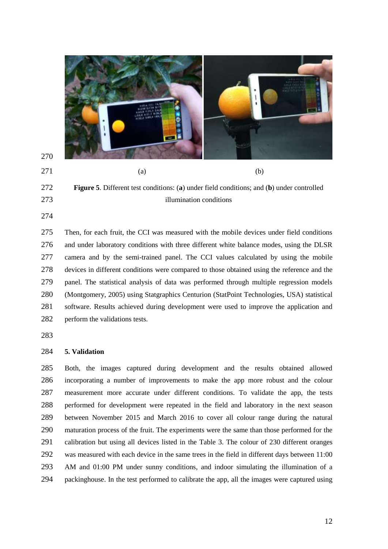

## 

 **Figure 5**. Different test conditions: (**a**) under field conditions; and (**b**) under controlled illumination conditions

 Then, for each fruit, the CCI was measured with the mobile devices under field conditions and under laboratory conditions with three different white balance modes, using the DLSR camera and by the semi-trained panel. The CCI values calculated by using the mobile devices in different conditions were compared to those obtained using the reference and the panel. The statistical analysis of data was performed through multiple regression models (Montgomery, 2005) using Statgraphics Centurion (StatPoint Technologies, USA) statistical software. Results achieved during development were used to improve the application and 282 perform the validations tests.

## **5. Validation**

 Both, the images captured during development and the results obtained allowed incorporating a number of improvements to make the app more robust and the colour measurement more accurate under different conditions. To validate the app, the tests performed for development were repeated in the field and laboratory in the next season between November 2015 and March 2016 to cover all colour range during the natural maturation process of the fruit. The experiments were the same than those performed for the calibration but using all devices listed in the Table 3. The colour of 230 different oranges was measured with each device in the same trees in the field in different days between 11:00 AM and 01:00 PM under sunny conditions, and indoor simulating the illumination of a packinghouse. In the test performed to calibrate the app, all the images were captured using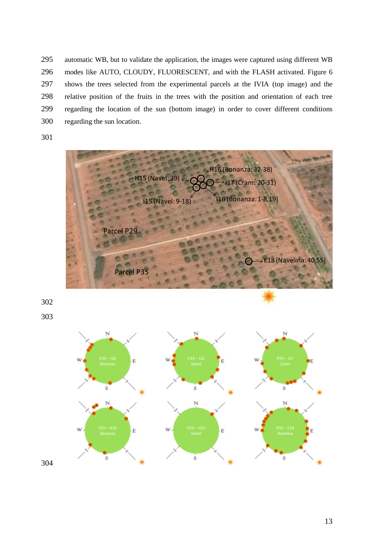automatic WB, but to validate the application, the images were captured using different WB modes like AUTO, CLOUDY, FLUORESCENT, and with the FLASH activated. Figure 6 shows the trees selected from the experimental parcels at the IVIA (top image) and the relative position of the fruits in the trees with the position and orientation of each tree regarding the location of the sun (bottom image) in order to cover different conditions regarding the sun location.



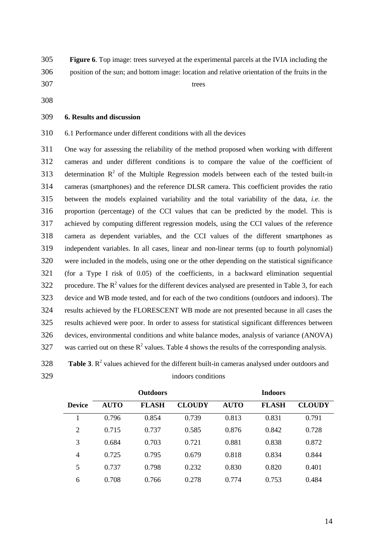**Figure 6**. Top image: trees surveyed at the experimental parcels at the IVIA including the position of the sun; and bottom image: location and relative orientation of the fruits in the trees

### **6. Results and discussion**

6.1 Performance under different conditions with all the devices

 One way for assessing the reliability of the method proposed when working with different cameras and under different conditions is to compare the value of the coefficient of 313 determination  $R^2$  of the Multiple Regression models between each of the tested built-in cameras (smartphones) and the reference DLSR camera. This coefficient provides the ratio between the models explained variability and the total variability of the data, *i.e.* the proportion (percentage) of the CCI values that can be predicted by the model. This is achieved by computing different regression models, using the CCI values of the reference camera as dependent variables, and the CCI values of the different smartphones as independent variables. In all cases, linear and non-linear terms (up to fourth polynomial) were included in the models, using one or the other depending on the statistical significance (for a Type I risk of 0.05) of the coefficients, in a backward elimination sequential 322 procedure. The  $R^2$  values for the different devices analysed are presented in Table 3, for each device and WB mode tested, and for each of the two conditions (outdoors and indoors). The results achieved by the FLORESCENT WB mode are not presented because in all cases the results achieved were poor. In order to assess for statistical significant differences between devices, environmental conditions and white balance modes, analysis of variance (ANOVA) 327 was carried out on these  $R^2$  values. Table 4 shows the results of the corresponding analysis.

**Table 3**.  $R^2$  values achieved for the different built-in cameras analysed under outdoors and indoors conditions

|                |             | <b>Outdoors</b> |               |             | <b>Indoors</b> |               |
|----------------|-------------|-----------------|---------------|-------------|----------------|---------------|
| <b>Device</b>  | <b>AUTO</b> | <b>FLASH</b>    | <b>CLOUDY</b> | <b>AUTO</b> | <b>FLASH</b>   | <b>CLOUDY</b> |
|                | 0.796       | 0.854           | 0.739         | 0.813       | 0.831          | 0.791         |
| $\overline{2}$ | 0.715       | 0.737           | 0.585         | 0.876       | 0.842          | 0.728         |
| 3              | 0.684       | 0.703           | 0.721         | 0.881       | 0.838          | 0.872         |
| 4              | 0.725       | 0.795           | 0.679         | 0.818       | 0.834          | 0.844         |
| 5              | 0.737       | 0.798           | 0.232         | 0.830       | 0.820          | 0.401         |
| 6              | 0.708       | 0.766           | 0.278         | 0.774       | 0.753          | 0.484         |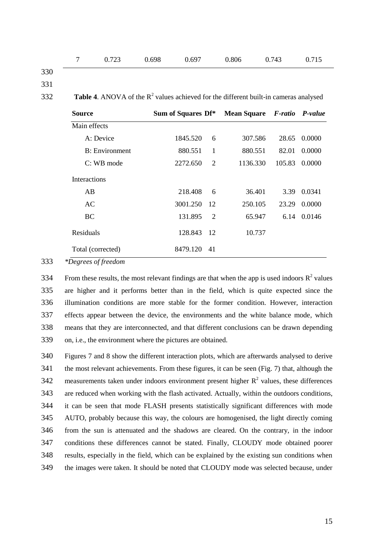|  | 7 0.723 | 0.698 | 0.697 | 0.806 | 0.743 | 0.715 |
|--|---------|-------|-------|-------|-------|-------|
|  |         |       |       |       |       |       |

330 331

**Table 4.** ANOVA of the  $R^2$  values achieved for the different built-in cameras analysed

| <b>Source</b>          | Sum of Squares Df* |                | <b>Mean Square</b> | F-ratio P-value |        |
|------------------------|--------------------|----------------|--------------------|-----------------|--------|
| Main effects           |                    |                |                    |                 |        |
| A: Device              | 1845.520           | 6              | 307.586            | 28.65           | 0.0000 |
| <b>B</b> : Environment | 880.551            | 1              | 880.551            | 82.01           | 0.0000 |
| $C: WB$ mode           | 2272.650           | 2              | 1136.330           | 105.83          | 0.0000 |
| <b>Interactions</b>    |                    |                |                    |                 |        |
| AB                     | 218.408            | 6              | 36.401             | 3.39            | 0.0341 |
| AC                     | 3001.250           | 12             | 250.105            | 23.29           | 0.0000 |
| BC                     | 131.895            | $\overline{2}$ | 65.947             | 6.14            | 0.0146 |
| Residuals              | 128.843            | - 12           | 10.737             |                 |        |
| Total (corrected)      | 8479.120           | 41             |                    |                 |        |

333 *\*Degrees of freedom*

334 From these results, the most relevant findings are that when the app is used indoors  $\mathbb{R}^2$  values are higher and it performs better than in the field, which is quite expected since the illumination conditions are more stable for the former condition. However, interaction effects appear between the device, the environments and the white balance mode, which means that they are interconnected, and that different conclusions can be drawn depending on, i.e., the environment where the pictures are obtained.

 Figures 7 and 8 show the different interaction plots, which are afterwards analysed to derive the most relevant achievements. From these figures, it can be seen (Fig. 7) that, although the 342 measurements taken under indoors environment present higher  $R^2$  values, these differences are reduced when working with the flash activated. Actually, within the outdoors conditions, it can be seen that mode FLASH presents statistically significant differences with mode AUTO, probably because this way, the colours are homogenised, the light directly coming from the sun is attenuated and the shadows are cleared. On the contrary, in the indoor conditions these differences cannot be stated. Finally, CLOUDY mode obtained poorer results, especially in the field, which can be explained by the existing sun conditions when the images were taken. It should be noted that CLOUDY mode was selected because, under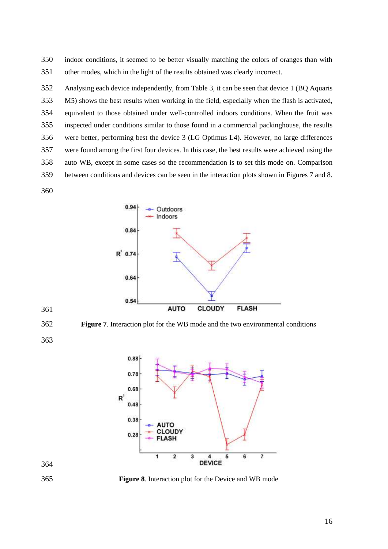indoor conditions, it seemed to be better visually matching the colors of oranges than with other modes, which in the light of the results obtained was clearly incorrect.

 Analysing each device independently, from Table 3, it can be seen that device 1 (BQ Aquaris M5) shows the best results when working in the field, especially when the flash is activated, equivalent to those obtained under well-controlled indoors conditions. When the fruit was inspected under conditions similar to those found in a commercial packinghouse, the results were better, performing best the device 3 (LG Optimus L4). However, no large differences were found among the first four devices. In this case, the best results were achieved using the auto WB, except in some cases so the recommendation is to set this mode on. Comparison between conditions and devices can be seen in the interaction plots shown in Figures 7 and 8.



**Figure 7**. Interaction plot for the WB mode and the two environmental conditions



**Figure 8**. Interaction plot for the Device and WB mode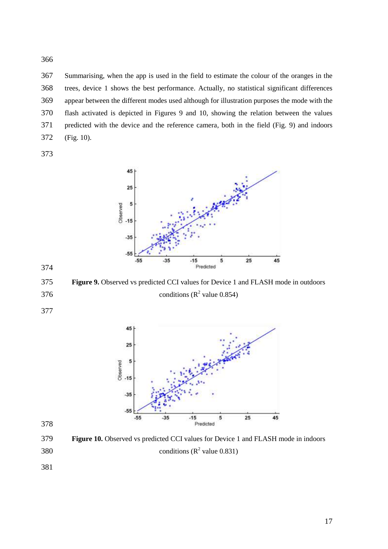Summarising, when the app is used in the field to estimate the colour of the oranges in the trees, device 1 shows the best performance. Actually, no statistical significant differences appear between the different modes used although for illustration purposes the mode with the flash activated is depicted in Figures 9 and 10, showing the relation between the values predicted with the device and the reference camera, both in the field (Fig. 9) and indoors (Fig. 10).



 **Figure 9.** Observed vs predicted CCI values for Device 1 and FLASH mode in outdoors 376 conditions ( $\mathbb{R}^2$  value 0.854)



 **Figure 10.** Observed vs predicted CCI values for Device 1 and FLASH mode in indoors 380 conditions  $(R^2 \text{ value } 0.831)$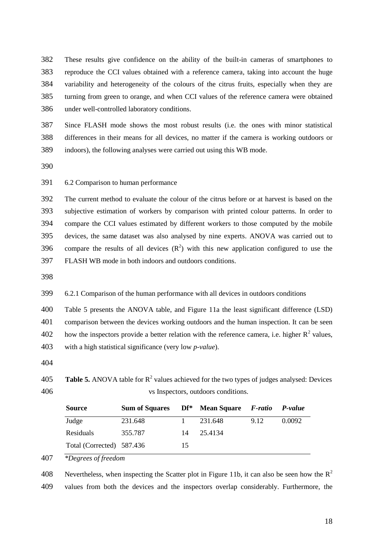These results give confidence on the ability of the built-in cameras of smartphones to reproduce the CCI values obtained with a reference camera, taking into account the huge variability and heterogeneity of the colours of the citrus fruits, especially when they are turning from green to orange, and when CCI values of the reference camera were obtained under well-controlled laboratory conditions.

 Since FLASH mode shows the most robust results (i.e. the ones with minor statistical differences in their means for all devices, no matter if the camera is working outdoors or indoors), the following analyses were carried out using this WB mode.

6.2 Comparison to human performance

 The current method to evaluate the colour of the citrus before or at harvest is based on the subjective estimation of workers by comparison with printed colour patterns. In order to compare the CCI values estimated by different workers to those computed by the mobile devices, the same dataset was also analysed by nine experts. ANOVA was carried out to 396 compare the results of all devices  $(R^2)$  with this new application configured to use the FLASH WB mode in both indoors and outdoors conditions.

6.2.1 Comparison of the human performance with all devices in outdoors conditions

Table 5 presents the ANOVA table, and Figure 11a the least significant difference (LSD)

comparison between the devices working outdoors and the human inspection. It can be seen

402 how the inspectors provide a better relation with the reference camera, i.e. higher  $R^2$  values,

with a high statistical significance (very low *p-value*).

**Table 5.** ANOVA table for  $R^2$  values achieved for the two types of judges analysed: Devices vs Inspectors, outdoors conditions.

| <b>Source</b>             | <b>Sum of Squares</b> |    | Df <sup>*</sup> Mean Square F-ratio P-value |      |        |
|---------------------------|-----------------------|----|---------------------------------------------|------|--------|
| Judge                     | 231.648               |    | 231.648                                     | 9.12 | 0.0092 |
| Residuals                 | 355.787               | 14 | 25.4134                                     |      |        |
| Total (Corrected) 587.436 |                       | 15 |                                             |      |        |

*\*Degrees of freedom*

Nevertheless, when inspecting the Scatter plot in Figure 11b, it can also be seen how the  $R^2$  values from both the devices and the inspectors overlap considerably. Furthermore, the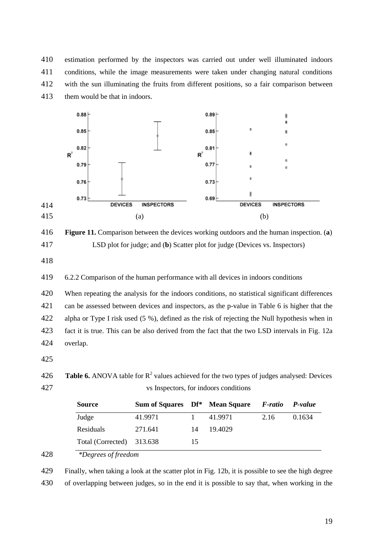estimation performed by the inspectors was carried out under well illuminated indoors conditions, while the image measurements were taken under changing natural conditions with the sun illuminating the fruits from different positions, so a fair comparison between them would be that in indoors.



 **Figure 11.** Comparison between the devices working outdoors and the human inspection. (**a**) LSD plot for judge; and (**b**) Scatter plot for judge (Devices vs. Inspectors)

6.2.2 Comparison of the human performance with all devices in indoors conditions

 When repeating the analysis for the indoors conditions, no statistical significant differences can be assessed between devices and inspectors, as the p-value in Table 6 is higher that the alpha or Type I risk used (5 %), defined as the risk of rejecting the Null hypothesis when in fact it is true. This can be also derived from the fact that the two LSD intervals in Fig. 12a overlap.

**Table 6.** ANOVA table for  $R^2$  values achieved for the two types of judges analysed: Devices vs Inspectors, for indoors conditions

| <b>Source</b>                         | Sum of Squares Df* Mean Square F-ratio |    |         |      | P-value |
|---------------------------------------|----------------------------------------|----|---------|------|---------|
| Judge                                 | 41.9971                                |    | 41.9971 | 2.16 | 0.1634  |
| Residuals                             | 271.641                                | 14 | 19.4029 |      |         |
| Total (Corrected) 313.638             |                                        | 15 |         |      |         |
| $\sim$ $\sim$ $\sim$<br>$\sim$ $\sim$ |                                        |    |         |      |         |

*\*Degrees of freedom*

 Finally, when taking a look at the scatter plot in Fig. 12b, it is possible to see the high degree of overlapping between judges, so in the end it is possible to say that, when working in the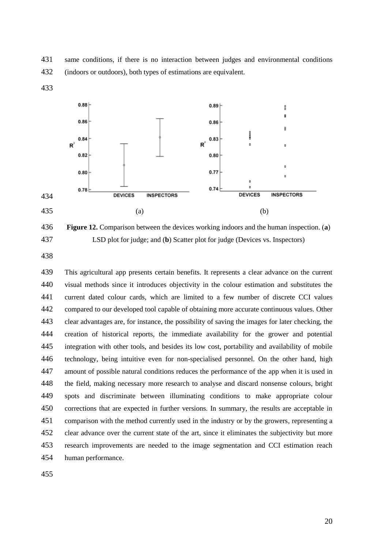same conditions, if there is no interaction between judges and environmental conditions (indoors or outdoors), both types of estimations are equivalent.



 **Figure 12.** Comparison between the devices working indoors and the human inspection. (**a**) LSD plot for judge; and (**b**) Scatter plot for judge (Devices vs. Inspectors)

 This agricultural app presents certain benefits. It represents a clear advance on the current visual methods since it introduces objectivity in the colour estimation and substitutes the current dated colour cards, which are limited to a few number of discrete CCI values compared to our developed tool capable of obtaining more accurate continuous values. Other clear advantages are, for instance, the possibility of saving the images for later checking, the creation of historical reports, the immediate availability for the grower and potential integration with other tools, and besides its low cost, portability and availability of mobile technology, being intuitive even for non-specialised personnel. On the other hand, high amount of possible natural conditions reduces the performance of the app when it is used in the field, making necessary more research to analyse and discard nonsense colours, bright spots and discriminate between illuminating conditions to make appropriate colour corrections that are expected in further versions. In summary, the results are acceptable in comparison with the method currently used in the industry or by the growers, representing a clear advance over the current state of the art, since it eliminates the subjectivity but more research improvements are needed to the image segmentation and CCI estimation reach human performance.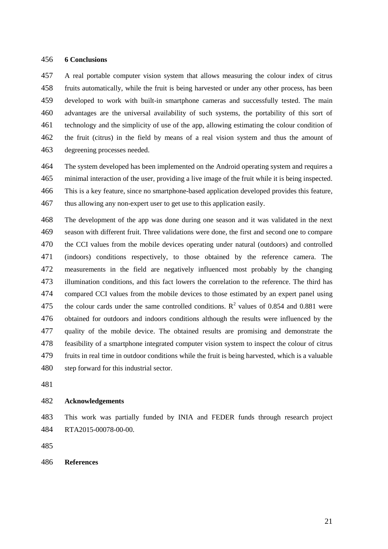## **6 Conclusions**

 A real portable computer vision system that allows measuring the colour index of citrus fruits automatically, while the fruit is being harvested or under any other process, has been developed to work with built-in smartphone cameras and successfully tested. The main advantages are the universal availability of such systems, the portability of this sort of technology and the simplicity of use of the app, allowing estimating the colour condition of the fruit (citrus) in the field by means of a real vision system and thus the amount of degreening processes needed.

 The system developed has been implemented on the Android operating system and requires a minimal interaction of the user, providing a live image of the fruit while it is being inspected. This is a key feature, since no smartphone-based application developed provides this feature, thus allowing any non-expert user to get use to this application easily.

 The development of the app was done during one season and it was validated in the next season with different fruit. Three validations were done, the first and second one to compare the CCI values from the mobile devices operating under natural (outdoors) and controlled (indoors) conditions respectively, to those obtained by the reference camera. The measurements in the field are negatively influenced most probably by the changing illumination conditions, and this fact lowers the correlation to the reference. The third has compared CCI values from the mobile devices to those estimated by an expert panel using 475 the colour cards under the same controlled conditions.  $R^2$  values of 0.854 and 0.881 were obtained for outdoors and indoors conditions although the results were influenced by the quality of the mobile device. The obtained results are promising and demonstrate the feasibility of a smartphone integrated computer vision system to inspect the colour of citrus fruits in real time in outdoor conditions while the fruit is being harvested, which is a valuable step forward for this industrial sector.

#### **Acknowledgements**

 This work was partially funded by INIA and FEDER funds through research project RTA2015-00078-00-00.

## **References**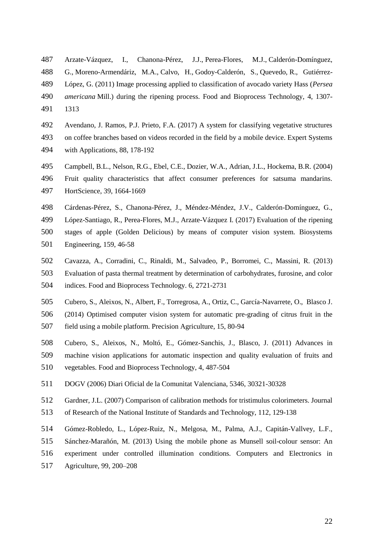- Arzate-Vázquez, I., Chanona-Pérez, J.J., Perea-Flores, M.J., Calderón-Domínguez,
- G., Moreno-Armendáriz, M.A., Calvo, H., Godoy-Calderón, S., Quevedo, R., Gutiérrez-
- López, G. (2011) Image processing applied to classification of avocado variety Hass (*Persea*

*americana* Mill.) during the ripening process. Food and Bioprocess Technology, [4,](http://www.springerlink.com/content/1935-5130/4/7/) 1307-

- 1313
- Avendano, J. Ramos, P.J. Prieto, F.A. (2017) A system for classifying vegetative structures
- on coffee branches based on videos recorded in the field by a mobile device. Expert Systems with Applications, 88, 178-192
- Campbell, B.L., Nelson, R.G., Ebel, C.E., Dozier, W.A., Adrian, J.L., Hockema, B.R. (2004)
- Fruit quality characteristics that affect consumer preferences for satsuma mandarins. HortScience, 39, 1664-1669
- Cárdenas-Pérez, S., Chanona-Pérez, J., Méndez-Méndez, J.V., Calderón-Domínguez, G.,
- López-Santiago, R., Perea-Flores, M.J., Arzate-Vázquez I. (2017) Evaluation of the ripening
- stages of apple (Golden Delicious) by means of computer vision system. Biosystems
- Engineering, 159, 46-58
- Cavazza, A., Corradini, C., Rinaldi, M., Salvadeo, P., Borromei, C., Massini, R. (2013)
- Evaluation of pasta thermal treatment by determination of carbohydrates, furosine, and color

indices. Food and Bioprocess Technology. 6, 2721-2731

- Cubero, S., Aleixos, N., Albert, F., Torregrosa, A., Ortiz, C., García-Navarrete, O., Blasco J.
- (2014) Optimised computer vision system for automatic pre-grading of citrus fruit in the
- field using a mobile platform. Precision Agriculture, 15, 80-94
- Cubero, S., Aleixos, N., Moltó, E., Gómez-Sanchis, J., Blasco, J. (2011) Advances in
- machine vision applications for automatic inspection and quality evaluation of fruits and vegetables. Food and Bioprocess Technology, 4, 487-504
- DOGV (2006) Diari Oficial de la Comunitat Valenciana, 5346, 30321-30328
- Gardner, J.L. (2007) Comparison of calibration methods for tristimulus colorimeters. Journal
- of Research of the National Institute of Standards and Technology, 112, 129-138
- Gómez-Robledo, L., López-Ruiz, N., Melgosa, M., Palma, A.J., Capitán-Vallvey, L.F.,
- Sánchez-Marañón, M. (2013) Using the mobile phone as Munsell soil-colour sensor: An
- experiment under controlled illumination conditions. Computers and Electronics in
- Agriculture, 99, 200–208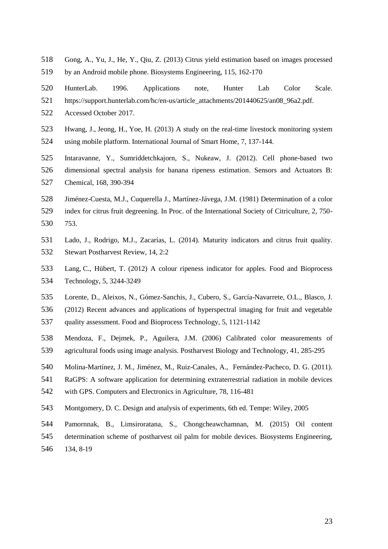- Gong, A., Yu, J., He, Y., Qiu, Z. (2013) Citrus yield estimation based on images processed
- by an Android mobile phone. Biosystems Engineering, 115, 162-170
- HunterLab. 1996. Applications note, Hunter Lab Color Scale.
- https://support.hunterlab.com/hc/en-us/article\_attachments/201440625/an08\_96a2.pdf.
- Accessed October 2017.
- [Hwang, J.,](http://www.scopus.com/authid/detail.url?authorId=36608338000&eid=2-s2.0-84883235765) [Jeong, H.,](http://www.scopus.com/authid/detail.url?authorId=55496059800&eid=2-s2.0-84883235765) [Yoe, H.](http://www.scopus.com/authid/detail.url?authorId=22434243600&eid=2-s2.0-84883235765) (2013) A study on the real-time livestock monitoring system using mobile platform. [International Journal of Smart Home,](http://www.scopus.com/source/sourceInfo.url?sourceId=20200195004&origin=recordpage) 7, 137-144.
- Intaravanne, Y., Sumriddetchkajorn, S., Nukeaw, J. (2012). Cell phone-based two
- dimensional spectral analysis for banana ripeness estimation. Sensors and Actuators B:
- Chemical, 168, 390-394
- Jiménez-Cuesta, M.J., Cuquerella J., Martínez-Jávega, J.M. (1981) Determination of a color
- index for citrus fruit degreening. In Proc. of the International Society of Citriculture, 2, 750-
- 753.
- Lado, J., Rodrigo, M.J., Zacarías, L. (2014). Maturity indicators and citrus fruit quality. Stewart Postharvest Review, 14, 2:2
- Lang, C., Hübert, T. (2012) A colour ripeness indicator for apples. Food and Bioprocess Technology, 5, 3244-3249
- Lorente, D., Aleixos, N., Gómez-Sanchis, J., Cubero, S., García-Navarrete, O.L., Blasco, J.
- (2012) Recent advances and applications of hyperspectral imaging for fruit and vegetable
- quality assessment. Food and Bioprocess Technology, 5, 1121-1142
- Mendoza, F., Dejmek, P., Aguilera, J.M. (2006) Calibrated color measurements of agricultural foods using image analysis. Postharvest Biology and Technology, 41, 285-295
- Molina-Martínez, J. M., Jiménez, M., Ruiz-Canales, A., Fernández-Pacheco, D. G. (2011).
- RaGPS: A software application for determining extraterrestrial radiation in mobile devices
- with GPS. Computers and Electronics in Agriculture, 78, 116-481
- Montgomery, D. C. Design and analysis of experiments, 6th ed. Tempe: Wiley, 2005
- Pamornnak, B., Limsiroratana, S., Chongcheawchamnan, M. (2015) Oil content
- determination scheme of postharvest oil palm for mobile devices. Biosystems Engineering,
- 134, 8-19